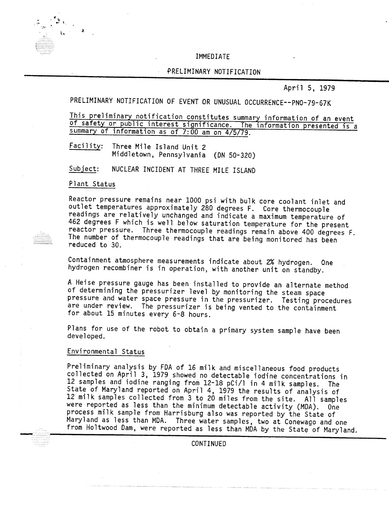#### IMMEDIATE

#### PRELIMINARY NOTIFICATION

April 5, 1979

PRELIMINARY NOTIFICATION OF EVENT OR UNUSUAL OCCURRENCE--PNO-79-67K

This preliminary notification constitutes summary information of an event of safety or public interest significance. The information presented is a summary of information as of 7:00 am on 4/5/79.

Facility: Three Mile Island Unit 2 Middletown, Pennsylvania (ON 50-320)

NUCLEAR INCIDENT AT THREE MILE ISLAND Subject:

Plant Status

Reactor pressure remains near 1000 psi with bulk core coolant inlet and outlet temperatures approximately 280 degrees F. Core thermocouple readings are relatively unchanged and indicate a maximum temperature of 462 degrees F which is well below saturation temperature for the present reactor pressure. Three thermocouple readings remain above 400 degrees F. The number of thermocouple readings that are being monitored has been reduced to 30.

Containment atmosphere measurements indicate about 2% hydrogen. One hydrogen recombiner is in operation, with another unit on standby.

A Heise pressure gauge has been installed to provide an alternate method of determining the pressurizer level by monitoring the steam space pressure and water space pressure in the pressurizer. Testing procedures are under review. The pressurizer is being vented to the containment for about 15 minutes every 6-8 hours.

Plans for use of the robot to obtain a primary system sample have been developed.

### Environmental Status

Preliminary analysis by FDA of 16 milk and miscellaneous food products collected on April 3, 1979 showed no detectable iodine concentrations in 12 samples and iodine ranging from 12-18 pCi/l in 4 mi1k samples. The State of Maryland reported on April 4, 1979 the results of analysis of 12 milk samples collected from 3 to 20 miles from the site. All samples were reported as less than the minimum detectable activity (MDA). One process milk sample from Harrisburg also was reported by the State of Maryland as less than MDA. Three water samples, two at Conewago and one from Holtwood Dam, were reported as less than MDA by the State of Maryland.

**CONTINUED**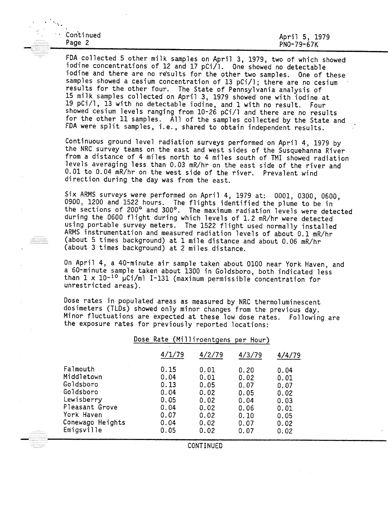| Continued | April 5, 1979 |
|-----------|---------------|
| Page 2    | PN0-79-67K    |

FDA collected 5 other milk samples on April 3, 1979, two of which showed iodine concentrations of 12 and 17 pCi/l. One showed no detectable iodine and there are no results for the other two samples. One of these samples showed a cesium concentration of 13 pCi/l; there are no cesium results for the other four. The State of Pennsylvania analysis of 15 milk samples collected on April 3, 1979 showed one with iodine at 19 pCi/l, 13 with no detectable iodine, and 1 with no result. Four showed cesium levels ranging from 10-26 pCi/l and there are no results for the other 11 samples. All of the samples collected by the State and FDA were split samples, i.e., shared to obtain independent results.

Continuous ground level radiation surveys performed on April 4, 1979 by the NRC survey teams on the east and west sides of the Susquehanna River from a distance of 4 miles north to 4 miles south of TMI showed radiation levels averaging less than 0.03 mR/hr on the east side of the river and 0.01 to 0.04 mR/hr on the west side of the river. Prevalent wind direction during the day was from the east.

Six ARMS surveys were performed on April 4, 1979 at: 0001, 0300, 0600, 0900, 1200 and 1522 hours. The flights identified the plume to be in the sections of 200° and 300°. The maximum radiation levels were detected during the 0600 flight during which levels of 1.2 mR/hr were detected using portable survey meters. The 1522 flight used normally installed ARMS instrumentation and measured radiation levels of about 0.1 mR/hr (about 5 times background) at 1 mile distance and about 0.06 mR/hr (about 3 times background) at 2 miles distance.

On April 4, a 40-minute air sample taken about 0100 near York Haven, and a 60-minute sample taken about 1300 in Goldsboro, both indicated less than  $1 \times 10^{-10}$   $\mu$ Ci/ml 1-131 (maximum permissible concentration for unrestricted areas).

Dose rates in populated areas as measured by NRC thermoluminescent dosimeters (TlDs) showed only minor changes from the previous day. Minor fluctuations are expected at these low dose rates. Following are the exposure rates for previously reported locations:

#### Dose Rate (Milliroentgens per Hour)

CONTINUED

| Falmouth<br>0.15<br>0.01<br>0.20<br>0.04<br>Middletown<br>0.04<br>0.01<br>0.02<br>0.01<br>Goldsboro<br>0.13<br>0.05<br>0.07<br>0.07                                                                                                                                                       | /4/79 |
|-------------------------------------------------------------------------------------------------------------------------------------------------------------------------------------------------------------------------------------------------------------------------------------------|-------|
| Goldsboro<br>0.04<br>0.02<br>0.05<br>0.02<br>Lewisberry<br>0.05<br>0.02<br>0.04<br>0.03<br>Pleasant Grove<br>0.04<br>0.02<br>0.06<br>0.01<br>York Haven<br>0.07<br>0.02<br>0.10<br>0.05<br>Conewago Heights<br>0.04<br>0.02<br>0.07<br>0.02<br>Emigsville<br>0.05<br>0.02<br>0.07<br>0.02 |       |

-,........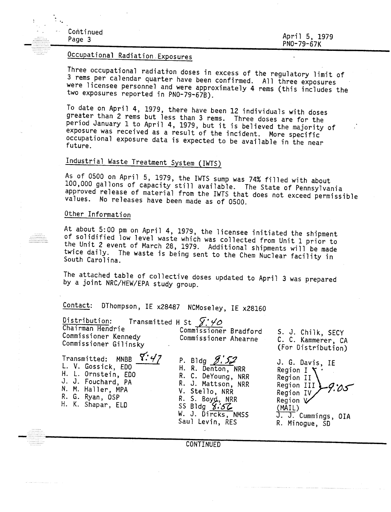April 5, 1979 PNO-79-67K

## Occupational Radiation.Exposures

Three occupational radiation doses in excess of the regulatory limit of 3 rems per calendar quarter have been confirmed. All three exposures were ricensee personnel and were approximately 4 rems (this includes the two exposures reported in PNO-79-67B). .

To date on April 4, 1979, there have been 12 individuals with doses greater than 2 rems but less than 3 rems. Three doses are for the period January 1 to April 4, 1979, but it is believed the majority of exposure was received as a result of the incident. More specific occupational exposure data is expected to be available in the near<br>future.

# Industrial Waste Treatment System (IWTS)

As of 0500 on April 5, 1979, the IWTS sump was 74% filled with about 100,000 gallons of capacity still available. The State of Pennsylvania approved release of material from the IWTS that does not exceed permissible values. No releases have been made as of 0500.

### Other Information

At about 5:00 pm on April 4, 1979, the licensee initiated the shipment of solidified low level waste which was collected from Unit 1 prior to the Unit 2 event of March 28, 1979. Additional shipments will be made twice daily. The waste is being sent to the Chem Nuclear facility in South Carolina.

The attached table of collective doses updated to April 3 was prepared by a joint NRC/HEW/EPA study group.

#### DThompson, IE x28487 NCMoseley, IE x28160 Contact:

| Distribution:<br>Chairman Hendrie<br>Commissioner Kennedy<br>Commissioner Gilinsky | Transmitted H St $\sqrt{2}$ $\overline{4}$<br>Commissioner Bradford<br>Commissioner Ahearne | S. J. Chilk, SECY<br>C. C. Kammerer, CA<br>(For Distribution) |
|------------------------------------------------------------------------------------|---------------------------------------------------------------------------------------------|---------------------------------------------------------------|
| $\overline{\phantom{0}}$                                                           |                                                                                             |                                                               |

Transmitted: MNBB t[: *'17* L. V. Gossick, EDO H. L. Ornstein, EDO J. J. Fouchard, PA N. M. Haller, MPA R. G. Ryan, OSP H. K. Shapar, ELD

P. Bldg  $5:52$ H. R. Denton, NRR R. C. DeYoung, NRR R. J. Mattson, NRR V. Stello, NRR  $S. Byd, NRR$ <br>S. Bldg  $X:57$ W. J. Dircks, NMSS Saul Levin, RES

 $\lambda$ J. G. Davis, IE Region I Region II

Region III 9:05 Region IV Region V (MAIL)  $\frac{(PH1L)}{1}$   $C(1)$ , o. cummings<br>P. Minogue, CD

CONTINUED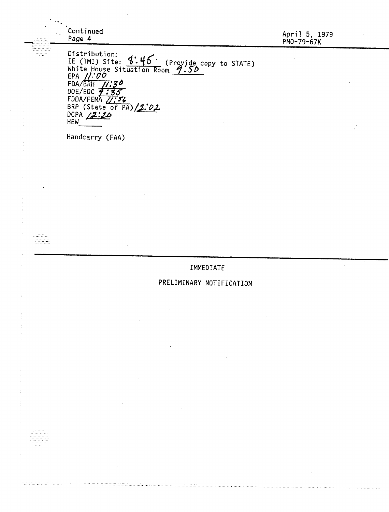| . <b>.</b>       | Continued<br>Page 4                                                                                                                                                                                                                          | April 5, 1979<br>PN0-79-67K |
|------------------|----------------------------------------------------------------------------------------------------------------------------------------------------------------------------------------------------------------------------------------------|-----------------------------|
| .<br><b>1919</b> | Distribution:<br>Distribution.<br>IE (TMI) Site: 9:46 (Provide copy to STATE)<br>White House Situation Room 9:50<br>EPA $11.00$<br>$FDA/BRH$ 77:30<br>DOE/EOC 9:35<br>FDDA/FEMA 11:56<br>BRP (State of PA)/2.02<br>DCPA $2:20$<br><b>HEW</b> |                             |
|                  | Handcarry (FAA)                                                                                                                                                                                                                              |                             |

 $\sim 10^{-1}$ 

.......... **WARRANG** 

. . . . . . . . . . . . . . .

## IMMEDIATE

 $\hat{\mathcal{L}}$ 

## PRELIMINARY NOTIFICATION

. . . . . .